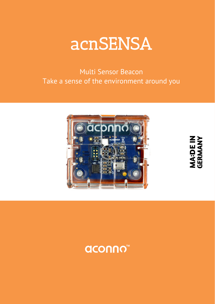

Multi Sensor Beacon Take a sense of the environment around you



**MA:DE IN<br>GERMANY**